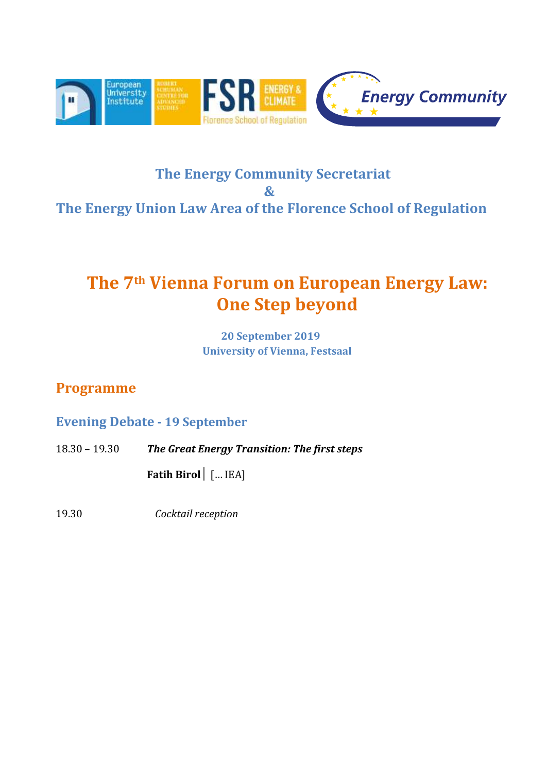

## **The Energy Community Secretariat**  $\mathbf{k}$ **The Energy Union Law Area of the Florence School of Regulation**

## **The 7th Vienna Forum on European Energy Law: One Step beyond**

**20 September 2019 University of Vienna, Festsaal**

### **Programme**

#### **Evening Debate - 19 September**

18.30 – 19.30 *The Great Energy Transition: The first steps*

**Fatih Birol**│ [… IEA]

19.30 *Cocktail reception*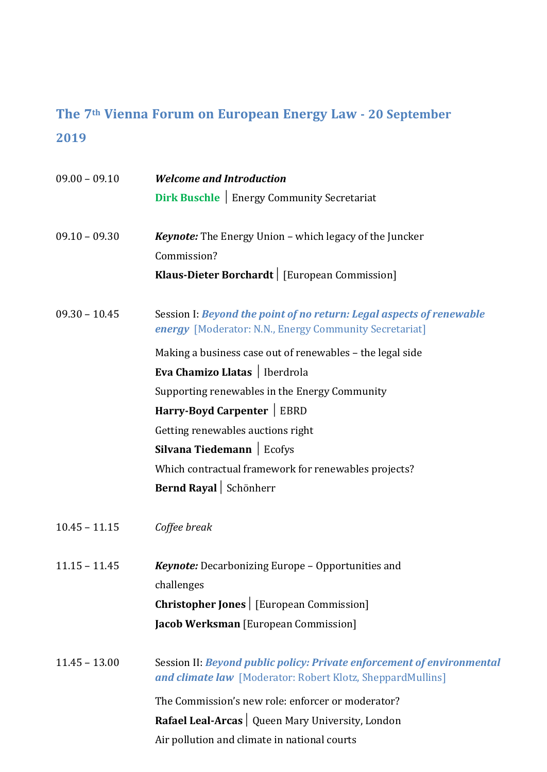## **The 7th Vienna Forum on European Energy Law - 20 September 2019**

| $09.00 - 09.10$ | <b>Welcome and Introduction</b>                                                                                                             |
|-----------------|---------------------------------------------------------------------------------------------------------------------------------------------|
|                 | <b>Dirk Buschle</b>   Energy Community Secretariat                                                                                          |
| $09.10 - 09.30$ | <b>Keynote:</b> The Energy Union - which legacy of the Juncker                                                                              |
|                 | Commission?                                                                                                                                 |
|                 | Klaus-Dieter Borchardt   [European Commission]                                                                                              |
| $09.30 - 10.45$ | Session I: Beyond the point of no return: Legal aspects of renewable<br>energy [Moderator: N.N., Energy Community Secretariat]              |
|                 | Making a business case out of renewables - the legal side                                                                                   |
|                 | Eva Chamizo Llatas   Iberdrola                                                                                                              |
|                 | Supporting renewables in the Energy Community                                                                                               |
|                 | Harry-Boyd Carpenter   EBRD                                                                                                                 |
|                 | Getting renewables auctions right                                                                                                           |
|                 | Silvana Tiedemann   Ecofys                                                                                                                  |
|                 | Which contractual framework for renewables projects?                                                                                        |
|                 | Bernd Rayal Schönherr                                                                                                                       |
| $10.45 - 11.15$ | Coffee break                                                                                                                                |
| $11.15 - 11.45$ | <b>Keynote:</b> Decarbonizing Europe - Opportunities and                                                                                    |
|                 | challenges                                                                                                                                  |
|                 | <b>Christopher Jones</b>   [European Commission]                                                                                            |
|                 | <b>Jacob Werksman</b> [European Commission]                                                                                                 |
| $11.45 - 13.00$ | Session II: Beyond public policy: Private enforcement of environmental<br><b>and climate law</b> [Moderator: Robert Klotz, SheppardMullins] |
|                 | The Commission's new role: enforcer or moderator?                                                                                           |
|                 | Rafael Leal-Arcas   Queen Mary University, London                                                                                           |
|                 | Air pollution and climate in national courts                                                                                                |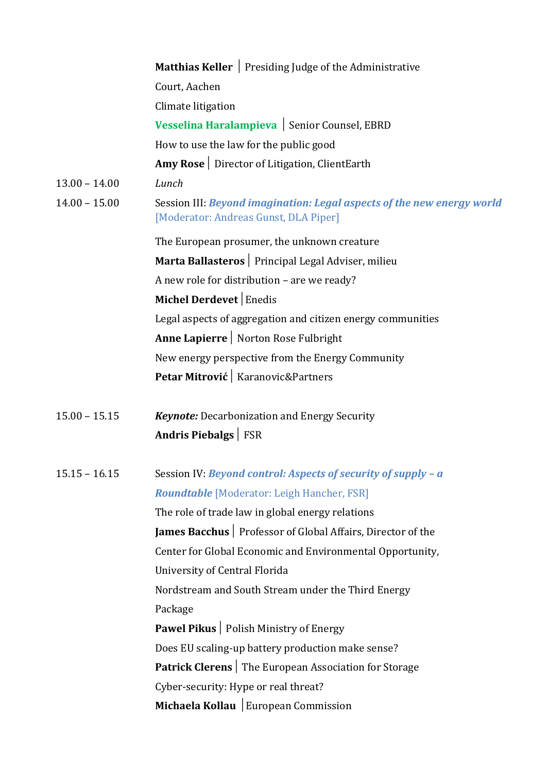|                 | Matthias Keller   Presiding Judge of the Administrative                                                         |
|-----------------|-----------------------------------------------------------------------------------------------------------------|
|                 | Court, Aachen                                                                                                   |
|                 | Climate litigation                                                                                              |
|                 | Vesselina Haralampieva   Senior Counsel, EBRD                                                                   |
|                 | How to use the law for the public good                                                                          |
|                 | Amy Rose   Director of Litigation, ClientEarth                                                                  |
| $13.00 - 14.00$ | Lunch                                                                                                           |
| $14.00 - 15.00$ | Session III: Beyond imagination: Legal aspects of the new energy world<br>[Moderator: Andreas Gunst, DLA Piper] |
|                 | The European prosumer, the unknown creature                                                                     |
|                 | Marta Ballasteros   Principal Legal Adviser, milieu                                                             |
|                 | A new role for distribution - are we ready?                                                                     |
|                 | Michel Derdevet   Enedis                                                                                        |
|                 | Legal aspects of aggregation and citizen energy communities                                                     |
|                 | Anne Lapierre   Norton Rose Fulbright                                                                           |
|                 | New energy perspective from the Energy Community                                                                |
|                 | Petar Mitrović   Karanovic&Partners                                                                             |
| $15.00 - 15.15$ | <b>Keynote:</b> Decarbonization and Energy Security                                                             |
|                 | Andris Piebalgs   FSR                                                                                           |
| $15.15 - 16.15$ | Session IV: Beyond control: Aspects of security of supply - a                                                   |
|                 | <b>Roundtable [Moderator: Leigh Hancher, FSR]</b>                                                               |
|                 | The role of trade law in global energy relations                                                                |
|                 | James Bacchus   Professor of Global Affairs, Director of the                                                    |
|                 | Center for Global Economic and Environmental Opportunity,                                                       |
|                 | University of Central Florida                                                                                   |
|                 | Nordstream and South Stream under the Third Energy                                                              |
|                 | Package                                                                                                         |
|                 | <b>Pawel Pikus</b>   Polish Ministry of Energy                                                                  |
|                 | Does EU scaling-up battery production make sense?                                                               |
|                 | <b>Patrick Clerens</b> The European Association for Storage                                                     |
|                 | Cyber-security: Hype or real threat?                                                                            |
|                 | Michaela Kollau   European Commission                                                                           |